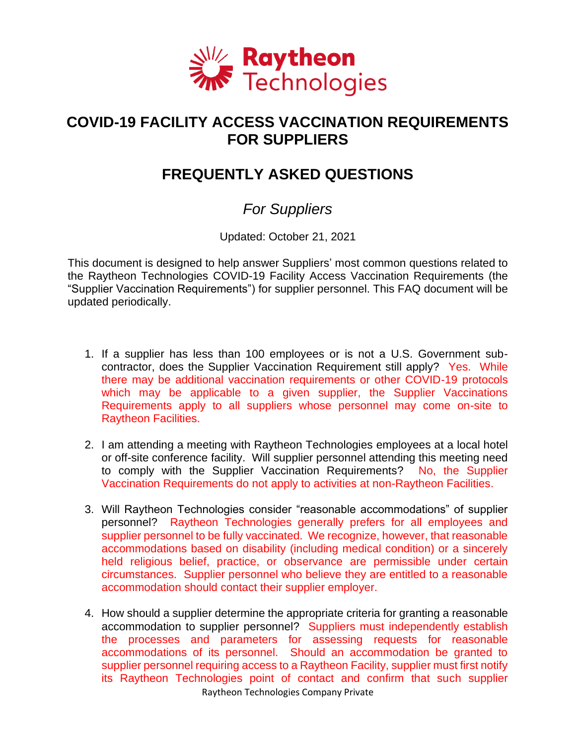

## **COVID-19 FACILITY ACCESS VACCINATION REQUIREMENTS FOR SUPPLIERS**

## **FREQUENTLY ASKED QUESTIONS**

## *For Suppliers*

Updated: October 21, 2021

This document is designed to help answer Suppliers' most common questions related to the Raytheon Technologies COVID-19 Facility Access Vaccination Requirements (the "Supplier Vaccination Requirements") for supplier personnel. This FAQ document will be updated periodically.

- 1. If a supplier has less than 100 employees or is not a U.S. Government subcontractor, does the Supplier Vaccination Requirement still apply? Yes. While there may be additional vaccination requirements or other COVID-19 protocols which may be applicable to a given supplier, the Supplier Vaccinations Requirements apply to all suppliers whose personnel may come on-site to Raytheon Facilities.
- 2. I am attending a meeting with Raytheon Technologies employees at a local hotel or off-site conference facility. Will supplier personnel attending this meeting need to comply with the Supplier Vaccination Requirements? No, the Supplier Vaccination Requirements do not apply to activities at non-Raytheon Facilities.
- 3. Will Raytheon Technologies consider "reasonable accommodations" of supplier personnel? Raytheon Technologies generally prefers for all employees and supplier personnel to be fully vaccinated. We recognize, however, that reasonable accommodations based on disability (including medical condition) or a sincerely held religious belief, practice, or observance are permissible under certain circumstances. Supplier personnel who believe they are entitled to a reasonable accommodation should contact their supplier employer.
- Raytheon Technologies Company Private 4. How should a supplier determine the appropriate criteria for granting a reasonable accommodation to supplier personnel? Suppliers must independently establish the processes and parameters for assessing requests for reasonable accommodations of its personnel. Should an accommodation be granted to supplier personnel requiring access to a Raytheon Facility, supplier must first notify its Raytheon Technologies point of contact and confirm that such supplier